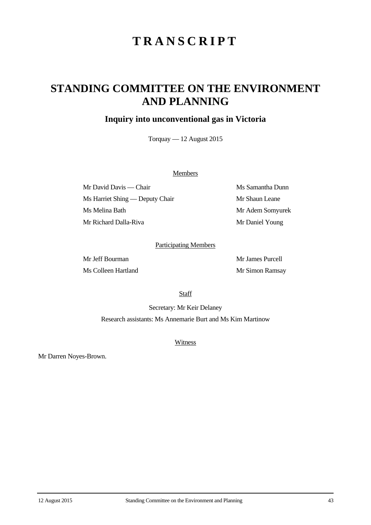# **TRANSCRIPT**

## **STANDING COMMITTEE ON THE ENVIRONMENT AND PLANNING**

## **Inquiry into unconventional gas in Victoria**

Torquay — 12 August 2015

### **Members**

Mr David Davis — Chair Ms Samantha Dunn Ms Harriet Shing — Deputy Chair Mr Shaun Leane Ms Melina Bath Mr Adem Somyurek Mr Richard Dalla-Riva Mr Daniel Young

### Participating Members

Mr Jeff Bourman Mr James Purcell Ms Colleen Hartland Mr Simon Ramsay

**Staff** 

Secretary: Mr Keir Delaney Research assistants: Ms Annemarie Burt and Ms Kim Martinow

**Witness** 

Mr Darren Noyes-Brown.